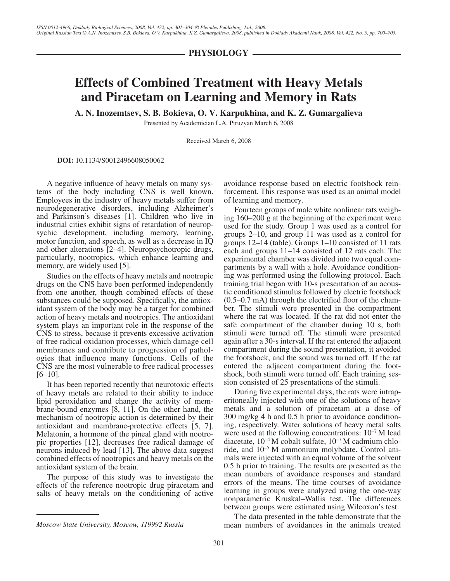$=$  PHYSIOLOGY  $=$ 

## **Effects of Combined Treatment with Heavy Metals and Piracetam on Learning and Memory in Rats**

**A. N. Inozemtsev, S. B. Bokieva, O. V. Karpukhina, and K. Z. Gumargalieva**

Presented by Academician L.A. Piruzyan March 6, 2008

Received March 6, 2008

**DOI:** 10.1134/S0012496608050062

A negative influence of heavy metals on many systems of the body including CNS is well known. Employees in the industry of heavy metals suffer from neurodegenerative disorders, including Alzheimer's and Parkinson's diseases [1]. Children who live in industrial cities exhibit signs of retardation of neuropsychic development, including memory, learning, motor function, and speech, as well as a decrease in IQ and other alterations [2–4]. Neuropsychotropic drugs, particularly, nootropics, which enhance learning and memory, are widely used [5].

Studies on the effects of heavy metals and nootropic drugs on the CNS have been performed independently from one another, though combined effects of these substances could be supposed. Specifically, the antioxidant system of the body may be a target for combined action of heavy metals and nootropics. The antioxidant system plays an important role in the response of the CNS to stress, because it prevents excessive activation of free radical oxidation processes, which damage cell membranes and contribute to progression of pathologies that influence many functions. Cells of the CNS are the most vulnerable to free radical processes  $[6-10]$ .

It has been reported recently that neurotoxic effects of heavy metals are related to their ability to induce lipid peroxidation and change the activity of membrane-bound enzymes [8, 11]. On the other hand, the mechanism of nootropic action is determined by their antioxidant and membrane-protective effects [5, 7]. Melatonin, a hormone of the pineal gland with nootropic properties [12], decreases free radical damage of neurons induced by lead [13]. The above data suggest combined effects of nootropics and heavy metals on the antioxidant system of the brain.

The purpose of this study was to investigate the effects of the reference nootropic drug piracetam and salts of heavy metals on the conditioning of active

avoidance response based on electric footshock reinforcement. This response was used as an animal model of learning and memory.

Fourteen groups of male white nonlinear rats weighing 160–200 g at the beginning of the experiment were used for the study. Group 1 was used as a control for groups 2–10, and group 11 was used as a control for groups 12–14 (table). Groups 1–10 consisted of 11 rats each and groups 11–14 consisted of 12 rats each. The experimental chamber was divided into two equal compartments by a wall with a hole. Avoidance conditioning was performed using the following protocol. Each training trial began with 10-s presentation of an acoustic conditioned stimulus followed by electric footshock (0.5–0.7 mA) through the electrified floor of the chamber. The stimuli were presented in the compartment where the rat was located. If the rat did not enter the safe compartment of the chamber during 10 s, both stimuli were turned off. The stimuli were presented again after a 30-s interval. If the rat entered the adjacent compartment during the sound presentation, it avoided the footshock, and the sound was turned off. If the rat entered the adjacent compartment during the footshock, both stimuli were turned off. Each training session consisted of 25 presentations of the stimuli.

During five experimental days, the rats were intraperitoneally injected with one of the solutions of heavy metals and a solution of piracetam at a dose of 300 mg/kg 4 h and 0.5 h prior to avoidance conditioning, respectively. Water solutions of heavy metal salts were used at the following concentrations:  $10^{-7}$  M lead diacetate, 10–4 M cobalt sulfate, 10–7 M cadmium chloride, and 10–5 M ammonium molybdate. Control animals were injected with an equal volume of the solvent 0.5 h prior to training. The results are presented as the mean numbers of avoidance responses and standard errors of the means. The time courses of avoidance learning in groups were analyzed using the one-way nonparametric Kruskal–Wallis test. The differences between groups were estimated using Wilcoxon's test.

The data presented in the table demonstrate that the mean numbers of avoidances in the animals treated

*Moscow State University, Moscow, 119992 Russia*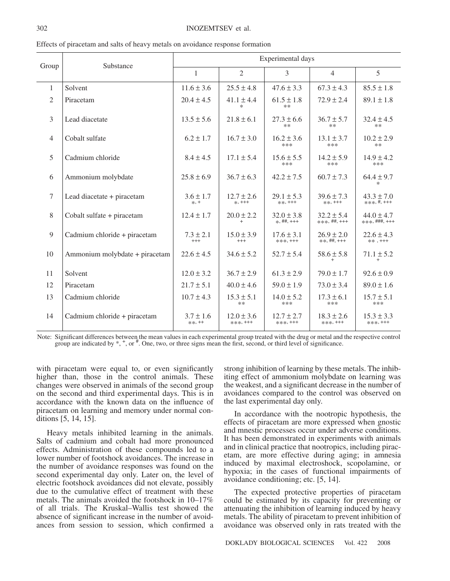## INOZEMTSEV et al.

| Group          | Substance                      | Experimental days         |                              |                                |                                   |                                    |
|----------------|--------------------------------|---------------------------|------------------------------|--------------------------------|-----------------------------------|------------------------------------|
|                |                                | 1                         | $\overline{2}$               | $\overline{3}$                 | $\overline{4}$                    | 5                                  |
| $\mathbf{1}$   | Solvent                        | $11.6 \pm 3.6$            | $25.5 \pm 4.8$               | $47.6 \pm 3.3$                 | $67.3 \pm 4.3$                    | $85.5 \pm 1.8$                     |
| 2              | Piracetam                      | $20.4 \pm 4.5$            | $41.1 \pm 4.4$<br>$\ast$     | $61.5 \pm 1.8$<br>$**$         | $72.9 \pm 2.4$                    | $89.1 \pm 1.8$                     |
| 3              | Lead diacetate                 | $13.5 \pm 5.6$            | $21.8 \pm 6.1$               | $27.3 \pm 6.6$<br>$**$         | $36.7 \pm 5.7$<br>$***$           | $32.4 \pm 4.5$<br>$**$             |
| $\overline{4}$ | Cobalt sulfate                 | $6.2 \pm 1.7$             | $16.7 \pm 3.0$               | $16.2 \pm 3.6$<br>***          | $13.1 \pm 3.7$<br>***             | $10.2 \pm 2.9$<br>$**$             |
| 5              | Cadmium chloride               | $8.4 \pm 4.5$             | $17.1 \pm 5.4$               | $15.6 \pm 5.5$<br>***          | $14.2 \pm 5.9$<br>***             | $14.9 \pm 4.2$<br>***              |
| 6              | Ammonium molybdate             | $25.8 \pm 6.9$            | $36.7 \pm 6.3$               | $42.2 \pm 7.5$                 | $60.7 \pm 7.3$                    | $64.4 \pm 9.7$<br>$\ast$           |
| 7              | Lead diacetate + piracetam     | $3.6 \pm 1.7$<br>$*, +$   | $12.7 \pm 2.6$<br>$*,$ +++   | $29.1 \pm 5.3$<br>$***,$ +++   | $39.6 \pm 7.3$<br>$***,$ +++      | $43.3 \pm 7.0$<br>$***, #, +++$    |
| 8              | Cobalt sulfate + piracetam     | $12.4 \pm 1.7$            | $20.0 \pm 2.2$               | $32.0 \pm 3.8$<br>$*, + + + +$ | $32.2 \pm 5.4$<br>$***$ , ##, +++ | $44.0 \pm 4.7$<br>$***$ , ###, +++ |
| 9              | Cadmium chloride + piracetam   | $7.3 \pm 2.1$<br>$^{+++}$ | $15.0 \pm 3.9$<br>$^{+++}$   | $17.6 \pm 3.1$<br>$***,***$    | $26.9 \pm 2.0$<br>$***$ , ##, +++ | $22.6 \pm 4.3$<br>$***$ , $+++$    |
| 10             | Ammonium molybdate + piracetam | $22.6 \pm 4.5$            | $34.6 \pm 5.2$               | $52.7 \pm 5.4$                 | $58.6 \pm 5.8$                    | $71.1 \pm 5.2$<br>$+$              |
| 11             | Solvent                        | $12.0 \pm 3.2$            | $36.7 \pm 2.9$               | $61.3 \pm 2.9$                 | $79.0 \pm 1.7$                    | $92.6 \pm 0.9$                     |
| 12             | Piracetam                      | $21.7 \pm 5.1$            | $40.0 \pm 4.6$               | $59.0 \pm 1.9$                 | $73.0 \pm 3.4$                    | $89.0 \pm 1.6$                     |
| 13             | Cadmium chloride               | $10.7 \pm 4.3$            | $15.3 \pm 5.1$<br>$***$      | $14.0 \pm 5.2$<br>***          | $17.3 \pm 6.1$<br>***             | $15.7 \pm 5.1$<br>***              |
| 14             | Cadmium chloride + piracetam   | $3.7 \pm 1.6$<br>$***,++$ | $12.0 \pm 3.6$<br>$***,$ +++ | $12.7 \pm 2.7$<br>$***,***$    | $18.3 \pm 2.6$<br>$***,$ +++      | $15.3 \pm 3.3$<br>$***,$ +++       |

Effects of piracetam and salts of heavy metals on avoidance response formation

Note: Significant differences between the mean values in each experimental group treated with the drug or metal and the respective control group are indicated by  $*,$   $^+$ , or  $^{\#}$ . One, two, or three signs mean the first, second, or third level of significance.

with piracetam were equal to, or even significantly higher than, those in the control animals. These changes were observed in animals of the second group on the second and third experimental days. This is in accordance with the known data on the influence of piracetam on learning and memory under normal conditions [5, 14, 15].

Heavy metals inhibited learning in the animals. Salts of cadmium and cobalt had more pronounced effects. Administration of these compounds led to a lower number of footshock avoidances. The increase in the number of avoidance responses was found on the second experimental day only. Later on, the level of electric footshock avoidances did not elevate, possibly due to the cumulative effect of treatment with these metals. The animals avoided the footshock in 10–17% of all trials. The Kruskal–Wallis test showed the absence of significant increase in the number of avoidances from session to session, which confirmed a strong inhibition of learning by these metals. The inhibiting effect of ammonium molybdate on learning was the weakest, and a significant decrease in the number of avoidances compared to the control was observed on the last experimental day only.

In accordance with the nootropic hypothesis, the effects of piracetam are more expressed when gnostic and mnestic processes occur under adverse conditions. It has been demonstrated in experiments with animals and in clinical practice that nootropics, including piracetam, are more effective during aging; in amnesia induced by maximal electroshock, scopolamine, or hypoxia; in the cases of functional impairments of avoidance conditioning; etc. [5, 14].

The expected protective properties of piracetam could be estimated by its capacity for preventing or attenuating the inhibition of learning induced by heavy metals. The ability of piracetam to prevent inhibition of avoidance was observed only in rats treated with the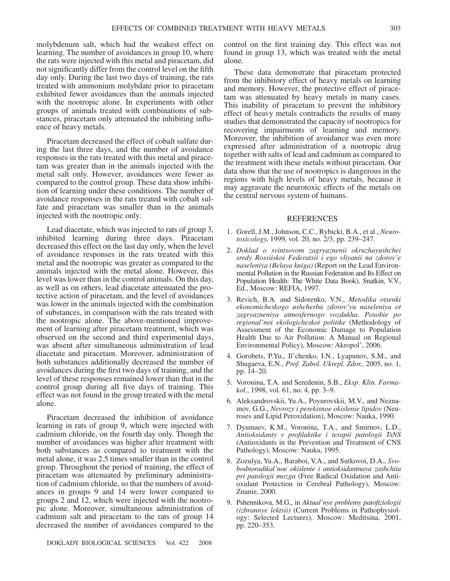molybdenum salt, which had the weakest effect on learning. The number of avoidances in group 10, where the rats were injected with this metal and piracetam, did not significantly differ from the control level on the fifth day only. During the last two days of training, the rats treated with ammonium molybdate prior to piracetam exhibited fewer avoidances than the animals injected with the nootropic alone. In experiments with other groups of animals treated with combinations of substances, piracetam only attenuated the inhibiting influence of heavy metals.

Piracetam decreased the effect of cobalt sulfate during the last three days, and the number of avoidance responses in the rats treated with this metal and piracetam was greater than in the animals injected with the metal salt only. However, avoidances were fewer as compared to the control group. These data show inhibition of learning under these conditions. The number of avoidance responses in the rats treated with cobalt sulfate and piracetam was smaller than in the animals injected with the nootropic only.

Lead diacetate, which was injected to rats of group 3, inhibited learning during three days. Piracetam decreased this effect on the last day only, when the level of avoidance responses in the rats treated with this metal and the nootropic was greater as compared to the animals injected with the metal alone. However, this level was lower than in the control animals. On this day, as well as on others, lead diacetate attenuated the protective action of piracetam, and the level of avoidances was lower in the animals injected with the combination of substances, in comparison with the rats treated with the nootropic alone. The above-mentioned improvement of learning after piracetam treatment, which was observed on the second and third experimental days, was absent after simultaneous administration of lead diacetate and piracetam. Moreover, administration of both substances additionally decreased the number of avoidances during the first two days of training, and the level of these responses remained lower than that in the control group during all five days of training. This effect was not found in the group treated with the metal alone.

Piracetam decreased the inhibition of avoidance learning in rats of group 9, which were injected with cadmium chloride, on the fourth day only. Though the number of avoidances was higher after treatment with both substances as compared to treatment with the metal alone, it was 2.5 times smaller than in the control group. Throughout the period of training, the effect of piracetam was attenuated by preliminary administration of cadmium chloride, so that the numbers of avoidances in groups 9 and 14 were lower compared to groups 2 and 12, which were injected with the nootropic alone. Moreover, simultaneous administration of cadmium salt and piracetam to the rats of group 14 decreased the number of avoidances compared to the control on the first training day. This effect was not found in group 13, which was treated with the metal alone.

These data demonstrate that piracetam protected from the inhibitory effect of heavy metals on learning and memory. However, the protective effect of piracetam was attenuated by heavy metals in many cases. This inability of piracetam to prevent the inhibitory effect of heavy metals contradicts the results of many studies that demonstrated the capacity of nootropics for recovering impairments of learning and memory. Moreover, the inhibition of avoidance was even more expressed after administration of a nootropic drug together with salts of lead and cadmium as compared to the treatment with these metals without piracetam. Our data show that the use of nootropics is dangerous in the regions with high levels of heavy metals, because it may aggravate the neurotoxic effects of the metals on the central nervous system of humans.

## REFERENCES

- 1. Gorell, J.M., Johnson, C.C., Rybicki, B.A., et al., *Neurotoxicology*, 1999, vol. 20, no. 2/3, pp. 239–247.
- 2. *Doklad o svintsovom zagryaznenii okruzhayushchei sredy Rossiiskoi Federatsii i ego vliyanii na zdorov'e naseleniya (Belaya kniga)* (Report on the Lead Environmental Pollution in the Russian Federation and Its Effect on Population Health: The White Data Book), Snatkin, V.V., Ed., Moscow: REFIA, 1997.
- 3. Revich, B.A. and Sidorenko, V.N., *Metodika otsenki ekonomicheskogo ushcherba zdorov'yu naseleniya ot zagryazneniya atmosfernogo vozdukha. Posobie po regional'noi ekologicheskoi politike* (Methodology of Assessment of the Economic Damage to Population Health Due to Air Pollution: A Manual on Regional Environmental Policy), Moscow: Akropol', 2006.
- 4. Gorobets, P.Yu., Il'chenko, I.N., Lyapunov, S.M., and Shugaeva, E.N., *Prof. Zabol. Ukrepl. Zdor.*, 2005, no. 1, pp. 14–20.
- 5. Voronina, T.A. and Seredenin, S.B., *Eksp. Klin. Farmakol.*, 1998, vol. 61, no. 4, pp. 3–9.
- 6. Aleksandrovskii, Yu.A., Poyurovskii, M.V., and Neznamov, G.G., *Nevrozy i perekisnoe okislenie lipidov* (Neuroses and Lipid Peroxidation), Moscow: Nauka, 1990.
- 7. Dyumaev, K.M., Voronina, T.A., and Smirnov, L.D., *Antioksidanty v profilaktike i terapii patologii TsNS* (Antioxidants in the Prevention and Treatment of CNS Pathology), Moscow: Nauka, 1995.
- 8. Zozulya, Yu.A., Baraboi, V.A., and Sutkovoi, D.A., *Svobodnoradikal'noe okislenie i antioksidantnaya zashchita pri patologii mozga* (Free Radical Oxidation and Antioxidant Protection in Cerebral Pathology), Moscow: Znanie, 2000.
- 9. Pshennikova, M.G., in *Aktual'nye problemy patofiziologii (izbrannye lektsii)* (Current Problems in Pathophysiology: Selected Lectures), Moscow: Meditsina, 2001, pp. 220–353.